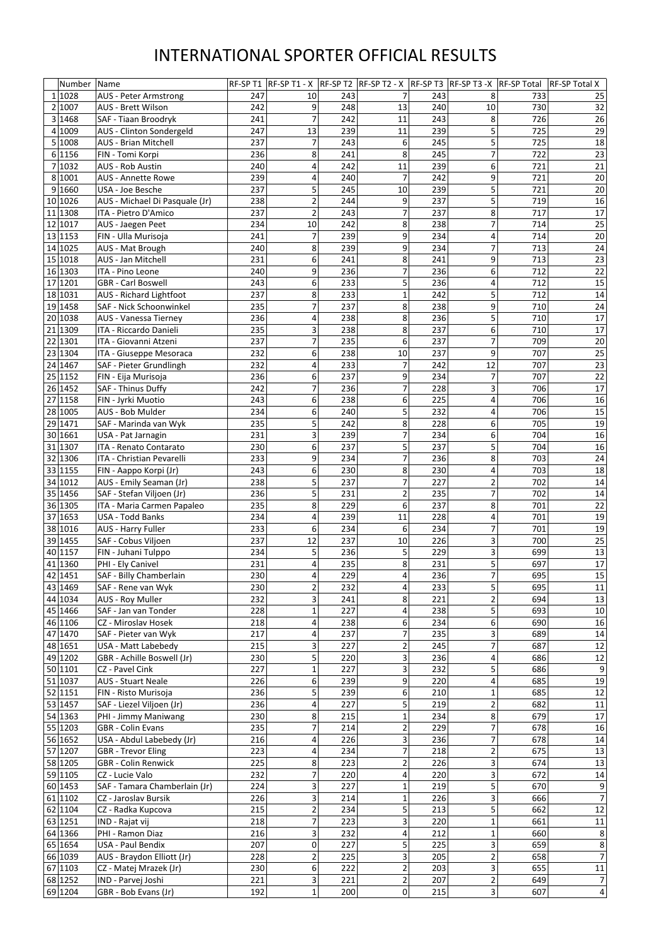|                | Number             | Name                                                     | RF-SPT1    |                |            | $ RF-SPT1-X $ RF-SPT2 $ RF-SPT2-X $ RF-SPT3 $ RF-SPT3-X $ RF-SPT1 |            |                         |            | <b>RF-SP Total X</b>    |
|----------------|--------------------|----------------------------------------------------------|------------|----------------|------------|-------------------------------------------------------------------|------------|-------------------------|------------|-------------------------|
|                | 1 1028             | <b>AUS - Peter Armstrong</b>                             | 247        | 10             | 243        | 7                                                                 | 243        | 8                       | 733        | 25                      |
| $\overline{2}$ | 1007               | <b>AUS - Brett Wilson</b>                                | 242        | 9              | 248        | 13                                                                | 240        | 10                      | 730        | 32                      |
|                | 3 1468             | SAF - Tiaan Broodryk                                     | 241        | 7              | 242        | 11                                                                | 243        | 8                       | 726        | 26                      |
| 4              | 1009               | AUS - Clinton Sondergeld                                 | 247        | 13             | 239        | 11                                                                | 239        | 5                       | 725        | 29                      |
|                | 5 1008             | <b>AUS - Brian Mitchell</b>                              | 237        | 7              | 243        | 6                                                                 | 245        | 5                       | 725        | 18                      |
|                | 6 1156             | FIN - Tomi Korpi                                         | 236        | 8              | 241        | 8                                                                 | 245        | 7                       | 722        | 23                      |
|                | 7 1032             | <b>AUS - Rob Austin</b>                                  | 240        | 4              | 242        | 11                                                                | 239        | 6                       | 721        | 21                      |
| 8              | 1001               | <b>AUS - Annette Rowe</b>                                | 239        | 4              | 240        | 7                                                                 | 242        | 9                       | 721        | 20                      |
| 9              | 1660               | USA - Joe Besche                                         | 237        | 5              | 245        | 10                                                                | 239        | 5                       | 721        | 20                      |
| 10             | 1026               | AUS - Michael Di Pasquale (Jr)                           | 238        | 2              | 244        | 9                                                                 | 237        | 5                       | 719        | 16                      |
| 11             | 1308               | ITA - Pietro D'Amico                                     | 237        | $\overline{2}$ | 243        | 7                                                                 | 237        | 8                       | 717        | 17                      |
| 12             | 1017               | AUS - Jaegen Peet                                        | 234        | 10             | 242        | 8                                                                 | 238        | 7                       | 714        | 25                      |
|                | 13 1153            | FIN - Ulla Murisoja                                      | 241        | 7              | 239        | 9                                                                 | 234        | 4                       | 714        | 20                      |
|                | 14 1025<br>15 1018 | AUS - Mat Brough<br><b>AUS - Jan Mitchell</b>            | 240<br>231 | 8<br>6         | 239<br>241 | 9<br>8                                                            | 234<br>241 | 7<br>9                  | 713<br>713 | 24<br>23                |
|                | 16 1303            | ITA - Pino Leone                                         | 240        | 9              | 236        | 7                                                                 | 236        | 6                       | 712        | 22                      |
|                | 17 1201            | <b>GBR</b> - Carl Boswell                                | 243        | 6              | 233        | 5                                                                 | 236        | 4                       | 712        | 15                      |
|                | 18 1031            | <b>AUS</b> - Richard Lightfoot                           | 237        | 8              | 233        | 1                                                                 | 242        | 5                       | 712        | 14                      |
|                | 19 1458            | SAF - Nick Schoonwinkel                                  | 235        | 7              | 237        | 8                                                                 | 238        | 9                       | 710        | 24                      |
|                | 20 1038            | <b>AUS - Vanessa Tierney</b>                             | 236        | 4              | 238        | 8                                                                 | 236        | 5                       | 710        | 17                      |
|                | 21 1309            | ITA - Riccardo Danieli                                   | 235        | 3              | 238        | 8                                                                 | 237        | 6                       | 710        | 17                      |
|                | 22 1301            | ITA - Giovanni Atzeni                                    | 237        | 7              | 235        | 6                                                                 | 237        | 7                       | 709        | 20                      |
| 23             | 1304               | ITA - Giuseppe Mesoraca                                  | 232        | 6              | 238        | 10                                                                | 237        | 9                       | 707        | 25                      |
|                | 24 1467            | SAF - Pieter Grundlingh                                  | 232        | 4              | 233        | 7                                                                 | 242        | 12                      | 707        | 23                      |
|                | 25 1152            | FIN - Eija Murisoja                                      | 236        | 6              | 237        | 9                                                                 | 234        | 7                       | 707        | 22                      |
|                | 26 1452            | SAF - Thinus Duffy                                       | 242        | 7              | 236        | 7                                                                 | 228        | 3                       | 706        | 17                      |
|                | 27 1158            | FIN - Jyrki Muotio                                       | 243        | 6              | 238        | 6                                                                 | 225        | 4                       | 706        | 16                      |
|                | 28 1005            | AUS - Bob Mulder                                         | 234        | 6              | 240        | 5                                                                 | 232        | 4                       | 706        | 15                      |
|                | 29 1471            | SAF - Marinda van Wyk                                    | 235        | 5              | 242        | 8                                                                 | 228        | 6                       | 705        | 19                      |
|                | 30 1661            | USA - Pat Jarnagin                                       | 231        | 3              | 239        | 7                                                                 | 234        | 6                       | 704        | 16                      |
|                | 31 1307            | ITA - Renato Contarato                                   | 230        | 6              | 237        | 5                                                                 | 237        | 5                       | 704        | 16                      |
|                | 32 1306            | ITA - Christian Pevarelli                                | 233        | 9              | 234        |                                                                   | 236        | 8                       | 703        | 24                      |
|                | 33 1155            | FIN - Aappo Korpi (Jr)                                   | 243        | 6              | 230        | 8                                                                 | 230        | 4                       | 703        | 18                      |
| 34             | 1012               | AUS - Emily Seaman (Jr)                                  | 238        | 5              | 237        |                                                                   | 227        | $\overline{2}$          | 702        | 14                      |
|                | 35 1456            | SAF - Stefan Viljoen (Jr)                                | 236        | 5              | 231        | 2                                                                 | 235        | 7                       | 702        | 14                      |
|                | 36 1305            | ITA - Maria Carmen Papaleo                               | 235        | 8              | 229        | 6                                                                 | 237        | 8                       | 701        | 22                      |
|                | 37 1653            | <b>USA - Todd Banks</b>                                  | 234        | 4              | 239        | 11                                                                | 228        | 4                       | 701        | 19                      |
|                | 38 1016            | <b>AUS - Harry Fuller</b>                                | 233        | 6              | 234        | 6                                                                 | 234        | 7                       | 701        | 19                      |
|                | 39 1455            | SAF - Cobus Viljoen                                      | 237        | 12             | 237        | 10                                                                | 226        | 3                       | 700        | 25                      |
|                | 40 1157            | FIN - Juhani Tulppo                                      | 234        | 5              | 236        | 5                                                                 | 229        | 3                       | 699        | 13                      |
|                | 41 1360            | PHI - Ely Canivel                                        | 231        | 4              | 235        | 8                                                                 | 231        | 5                       | 697        | 17                      |
|                | 42 1451            | SAF - Billy Chamberlain                                  | 230        |                | 229        | 4                                                                 | 236        | $\overline{7}$          | 695        | 15                      |
|                | 43 1469            | SAF - Rene van Wyk                                       | 230        |                | 232        | 4                                                                 | 233        | 5                       | 695        | 11                      |
|                | 44 1034            | AUS - Roy Muller                                         | 232        | 3              | 241        | 8                                                                 | 221        | $\overline{2}$          | 694        | 13                      |
|                | 45 1466            | SAF - Jan van Tonder                                     | 228        |                | 227        | 4                                                                 | 238        | 5                       | 693        | 10                      |
|                | 46 1106            | CZ - Miroslav Hosek                                      | 218        | 4              | 238        | 6                                                                 | 234        | 6                       | 690        | 16                      |
|                | 47 1470            | SAF - Pieter van Wyk                                     | 217        | 4              | 237<br>227 |                                                                   | 235<br>245 | 3<br>7                  | 689<br>687 | 14                      |
| 49             | 48 1651<br>1202    | <b>USA - Matt Labebedy</b><br>GBR - Achille Boswell (Jr) | 215<br>230 | 3<br>5         | 220        | 2<br>3                                                            | 236        |                         | 686        | 12<br>12                |
|                | 50 1101            | CZ - Pavel Cink                                          | 227        |                | 227        | 3                                                                 | 232        | 4<br>5                  | 686        | 9                       |
|                | 51 1037            | <b>AUS - Stuart Neale</b>                                | 226        | 6              | 239        | 9                                                                 | 220        | 4                       | 685        | 19                      |
|                | 52 1151            | FIN - Risto Murisoja                                     | 236        | 5              | 239        | 6                                                                 | 210        | 1                       | 685        | 12                      |
|                | 53 1457            | SAF - Liezel Viljoen (Jr)                                | 236        | 4              | 227        | 5                                                                 | 219        | $\overline{c}$          | 682        | 11                      |
|                | 54 1363            | PHI - Jimmy Maniwang                                     | 230        | 8              | 215        |                                                                   | 234        | 8                       | 679        | 17                      |
|                | 55 1203            | <b>GBR</b> - Colin Evans                                 | 235        |                | 214        |                                                                   | 229        | 7                       | 678        | 16                      |
|                | 56 1652            | USA - Abdul Labebedy (Jr)                                | 216        | 4              | 226        | 3                                                                 | 236        | 7                       | 678        | 14                      |
|                | 57 1207            | <b>GBR</b> - Trevor Eling                                | 223        | 4              | 234        | 7                                                                 | 218        | $\overline{2}$          | 675        | 13                      |
|                | 58 1205            | <b>GBR</b> - Colin Renwick                               | 225        | 8              | 223        | 2                                                                 | 226        | 3                       | 674        | 13                      |
|                | 59 1105            | CZ - Lucie Valo                                          | 232        |                | 220        |                                                                   | 220        | 3                       | 672        | 14                      |
|                | 60 1453            | SAF - Tamara Chamberlain (Jr)                            | 224        |                | 227        |                                                                   | 219        | 5                       | 670        | 9                       |
|                | 61 1102            | CZ - Jaroslav Bursik                                     | 226        | 3              | 214        | $\mathbf 1$                                                       | 226        | 3                       | 666        | 7                       |
|                | 62 1104            | CZ - Radka Kupcova                                       | 215        | $\overline{2}$ | 234        | 5                                                                 | 213        | 5                       | 662        | 12                      |
|                | 63 1251            | IND - Rajat vij                                          | 218        | 7              | 223        | 3                                                                 | 220        | $\mathbf{1}$            | 661        | 11                      |
|                | 64 1366            | PHI - Ramon Diaz                                         | 216        | 3              | 232        | 4                                                                 | 212        | $\mathbf{1}$            | 660        | 8                       |
|                | 65 1654            | <b>USA - Paul Bendix</b>                                 | 207        | 0              | 227        | 5                                                                 | 225        | 3                       | 659        | 8                       |
|                | 66 1039            | AUS - Braydon Elliott (Jr)                               | 228        | $\overline{2}$ | 225        | 3                                                                 | 205        | $\overline{c}$          | 658        | $\overline{7}$          |
|                | 67 1103            | CZ - Matej Mrazek (Jr)                                   | 230        | 6              | 222        | 2                                                                 | 203        | 3                       | 655        | 11                      |
|                | 68 1252            | IND - Parvej Joshi                                       | 221        | 3              | 221        | $\overline{2}$                                                    | 207        | $\overline{\mathbf{c}}$ | 649        | $\overline{7}$          |
|                | 69 1204            | GBR - Bob Evans (Jr)                                     | 192        | $\mathbf{1}$   | 200        | $\overline{0}$                                                    | 215        | 3                       | 607        | $\overline{\mathbf{4}}$ |

## INTERNATIONAL SPORTER OFFICIAL RESULTS